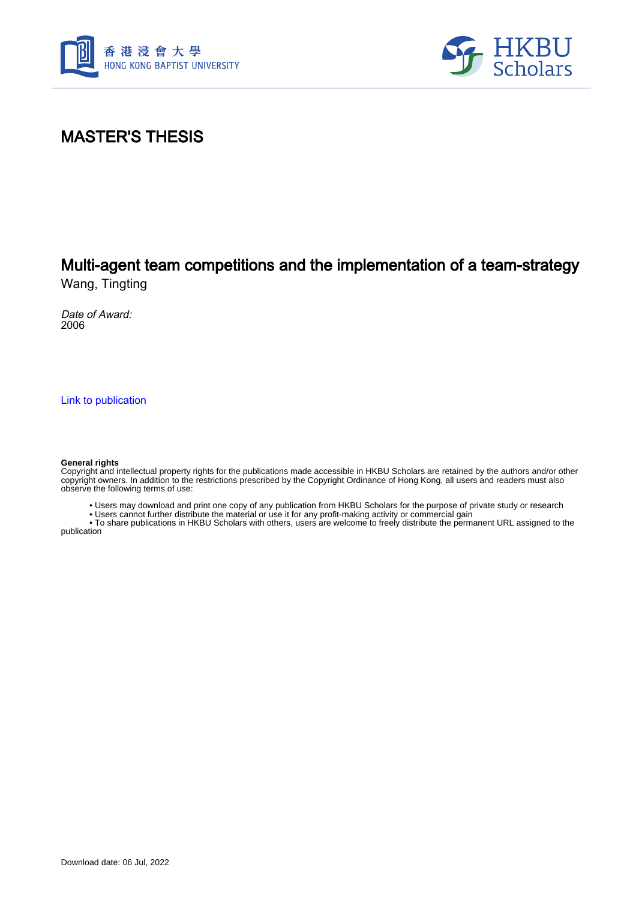



### MASTER'S THESIS

# Multi-agent team competitions and the implementation of a team-strategy

Wang, Tingting

Date of Award: 2006

[Link to publication](https://scholars.hkbu.edu.hk/en/studentTheses/da461bcf-7bf2-495c-b233-f575a59ea359)

#### **General rights**

Copyright and intellectual property rights for the publications made accessible in HKBU Scholars are retained by the authors and/or other copyright owners. In addition to the restrictions prescribed by the Copyright Ordinance of Hong Kong, all users and readers must also observe the following terms of use:

• Users may download and print one copy of any publication from HKBU Scholars for the purpose of private study or research

• Users cannot further distribute the material or use it for any profit-making activity or commercial gain

 • To share publications in HKBU Scholars with others, users are welcome to freely distribute the permanent URL assigned to the publication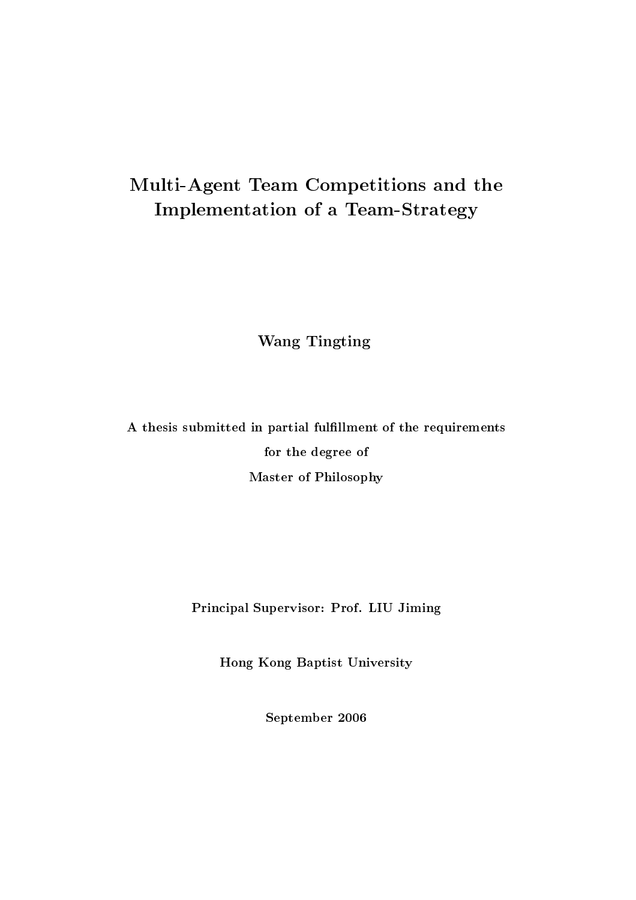## Multi-Agent Team Competitions and the **Implementation of a Team-Strategy**

**Wang Tingting** 

A thesis submitted in partial fulfillment of the requirements for the degree of Master of Philosophy

Principal Supervisor: Prof. LIU Jiming

Hong Kong Baptist University

September 2006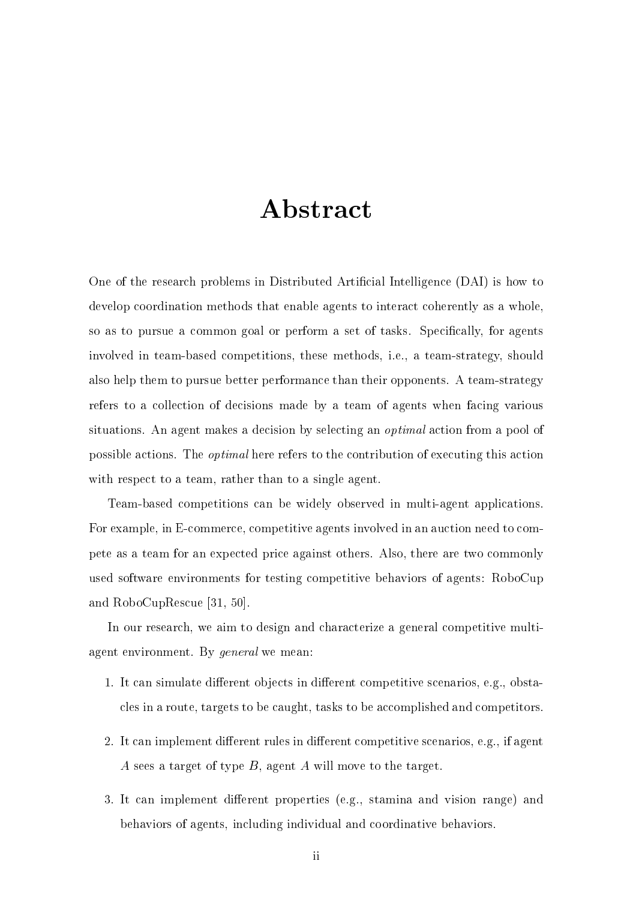## Abstract

One of the research problems in Distributed Artificial Intelligence (DAI) is how to develop coordination methods that enable agents to interact coherently as a whole, so as to pursue a common goal or perform a set of tasks. Specifically, for agents involved in team-based competitions, these methods, i.e., a team-strategy, should also help them to pursue better performance than their opponents. A team-strategy refers to a collection of decisions made by a team of agents when facing various situations. An agent makes a decision by selecting an *optimal* action from a pool of possible actions. The *optimal* here refers to the contribution of executing this action with respect to a team, rather than to a single agent.

Team-based competitions can be widely observed in multi-agent applications. For example, in E-commerce, competitive agents involved in an auction need to compete as a team for an expected price against others. Also, there are two commonly used software environments for testing competitive behaviors of agents: RoboCup and RoboCupRescue [31, 50].

In our research, we aim to design and characterize a general competitive multiagent environment. By *general* we mean:

- 1. It can simulate different objects in different competitive scenarios, e.g., obstacles in a route, targets to be caught, tasks to be accomplished and competitors.
- 2. It can implement different rules in different competitive scenarios, e.g., if agent A sees a target of type B, agent A will move to the target.
- 3. It can implement different properties (e.g., stamina and vision range) and behaviors of agents, including individual and coordinative behaviors.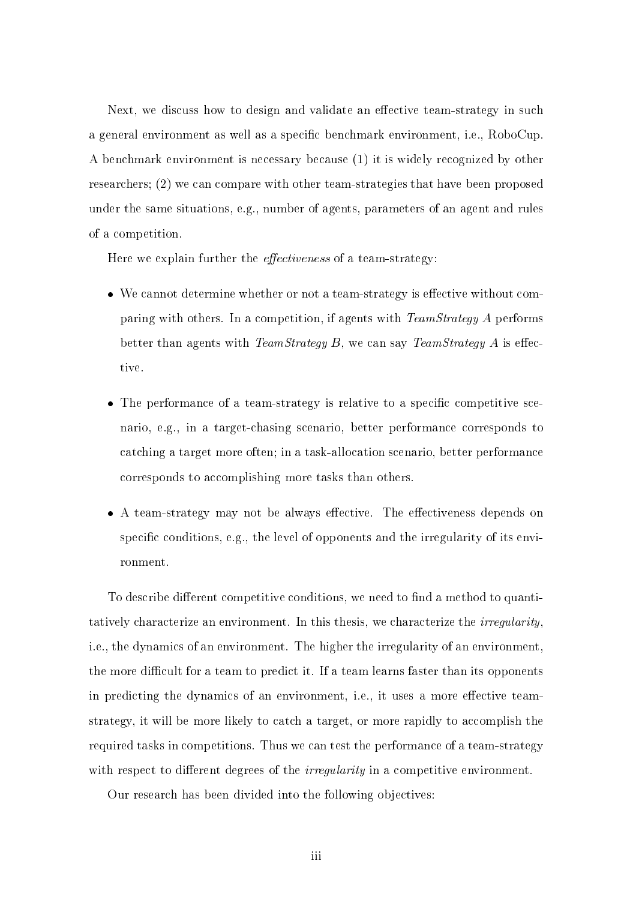Next, we discuss how to design and validate an effective team-strategy in such a general environment as well as a specific benchmark environment, i.e., RoboCup. A benchmark environment is necessary because (1) it is widely recognized by other researchers; (2) we can compare with other team-strategies that have been proposed under the same situations, e.g., number of agents, parameters of an agent and rules of a competition.

Here we explain further the *effectiveness* of a team-strategy:

- We cannot determine whether or not a team-strategy is effective without comparing with others. In a competition, if agents with  $TeamStrategy A$  performs better than agents with *TeamStrategy B*, we can say *TeamStrategy A* is effective.
- The performance of a team-strategy is relative to a specific competitive scenario, e.g., in a target-chasing scenario, better performance corresponds to catching a target more often; in a task-allocation scenario, better performance corresponds to accomplishing more tasks than others.
- A team-strategy may not be always effective. The effectiveness depends on specific conditions, e.g., the level of opponents and the irregularity of its environment.

To describe different competitive conditions, we need to find a method to quantitatively characterize an environment. In this thesis, we characterize the *irregularity*, i.e., the dynamics of an environment. The higher the irregularity of an environment, the more difficult for a team to predict it. If a team learns faster than its opponents in predicting the dynamics of an environment, i.e., it uses a more effective teamstrategy, it will be more likely to catch a target, or more rapidly to accomplish the required tasks in competitions. Thus we can test the performance of a team-strategy with respect to different degrees of the *irregularity* in a competitive environment.

Our research has been divided into the following objectives: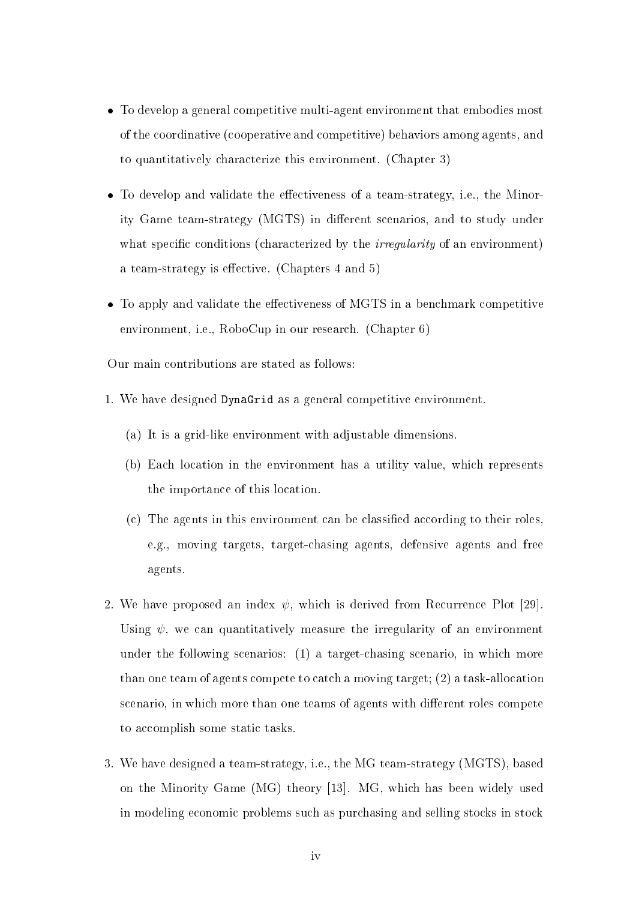- To develop a general competitive multi-agent environment that embodies most of the coordinative (cooperative and competitive) behaviors among agents, and to quantitatively characterize this environment. (Chapter 3)
- To develop and validate the effectiveness of a team-strategy, i.e., the Minority Game team-strategy (MGTS) in different scenarios, and to study under what specific conditions (characterized by the *irregularity* of an environment) a team-strategy is effective. (Chapters 4 and 5)
- To apply and validate the effectiveness of MGTS in a benchmark competitive environment, i.e., RoboCup in our research. (Chapter 6)

Our main contributions are stated as follows:

- 1. We have designed DynaGrid as a general competitive environment.
	- (a) It is a grid-like environment with adjustable dimensions.
	- (b) Each location in the environment has a utility value, which represents the importance of this location.
	- (c) The agents in this environment can be classified according to their roles, e.g., moving targets, target-chasing agents, defensive agents and free agents.
- 2. We have proposed an index  $\psi$ , which is derived from Recurrence Plot [29]. Using  $\psi$ , we can quantitatively measure the irregularity of an environment under the following scenarios: (1) a target-chasing scenario, in which more than one team of agents compete to catch a moving target;  $(2)$  a task-allocation scenario, in which more than one teams of agents with different roles competed to accomplish some static tasks.
- 3. We have designed a team-strategy, i.e., the MG team-strategy (MGTS), based on the Minority Game (MG) theory [13]. MG, which has been widely used in modeling economic problems such as purchasing and selling stocks in stock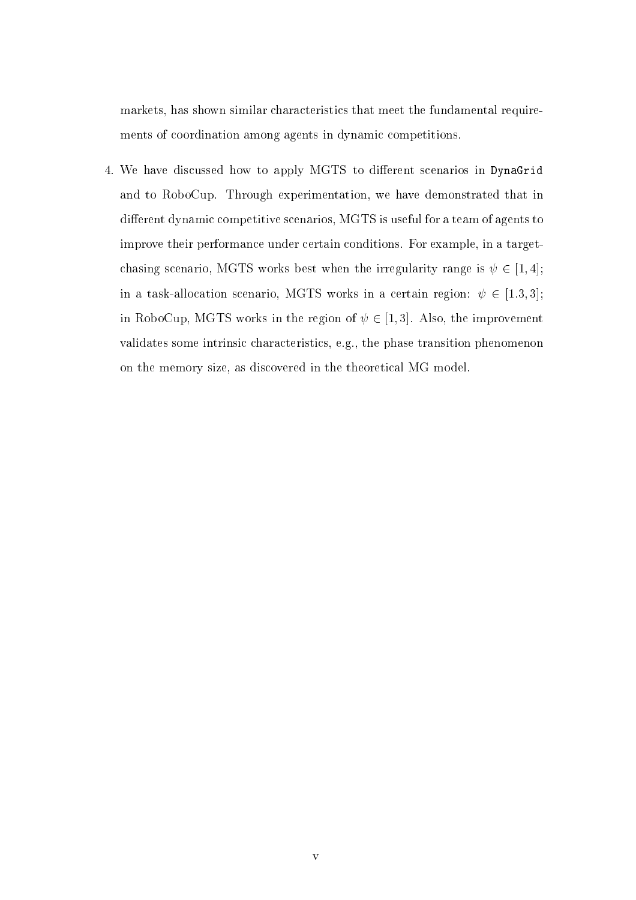markets, has shown similar characteristics that meet the fundamental requirements of coordination among agents in dynamic competitions.

4. We have discussed how to apply MGTS to different scenarios in DynaGrid and to RoboCup. Through experimentation, we have demonstrated that in different dynamic competitive scenarios, MGTS is useful for a team of agents to improve their performance under certain conditions. For example, in a targetchasing scenario, MGTS works best when the irregularity range is  $\psi \in [1, 4]$ ; in a task-allocation scenario, MGTS works in a certain region:  $\psi \in [1.3,3];$ in RoboCup, MGTS works in the region of  $\psi \in [1,3]$ . Also, the improvement validates some intrinsic characteristics, e.g., the phase transition phenomenon on the memory size, as discovered in the theoretical MG model.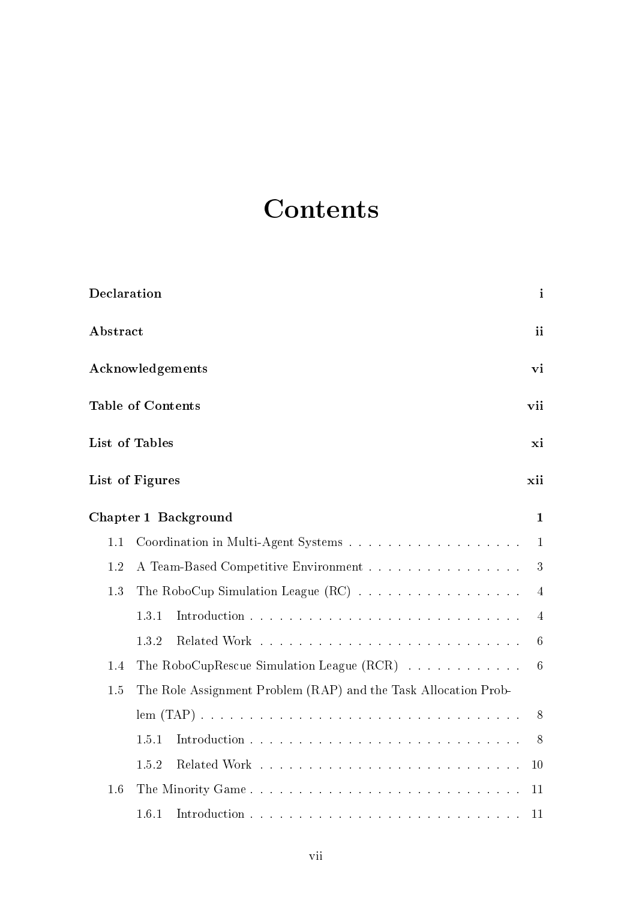# Contents

| Declaration      |                                                                 | $\mathbf{i}$    |  |  |  |
|------------------|-----------------------------------------------------------------|-----------------|--|--|--|
| Abstract         |                                                                 | ii              |  |  |  |
| Acknowledgements |                                                                 |                 |  |  |  |
|                  | <b>Table of Contents</b>                                        | vii             |  |  |  |
|                  | <b>List of Tables</b>                                           | xi              |  |  |  |
|                  | List of Figures                                                 | xii             |  |  |  |
|                  | Chapter 1 Background                                            | $\mathbf{1}$    |  |  |  |
| 1.1              |                                                                 | $\mathbf{1}$    |  |  |  |
| 1.2              | A Team-Based Competitive Environment<br>3                       |                 |  |  |  |
| 1.3              |                                                                 |                 |  |  |  |
|                  | 1.3.1                                                           | 4               |  |  |  |
|                  | 1.3.2                                                           | $6\phantom{.}6$ |  |  |  |
| 1.4              | The RoboCupRescue Simulation League $(RCR)$                     | 6               |  |  |  |
| 1.5              | The Role Assignment Problem (RAP) and the Task Allocation Prob- |                 |  |  |  |
|                  |                                                                 | 8               |  |  |  |
|                  | 1.5.1                                                           | 8               |  |  |  |
|                  | 1.5.2                                                           | 10              |  |  |  |
| 1.6              | The Minority Game                                               | 11              |  |  |  |
|                  | 1.6.1                                                           | 11              |  |  |  |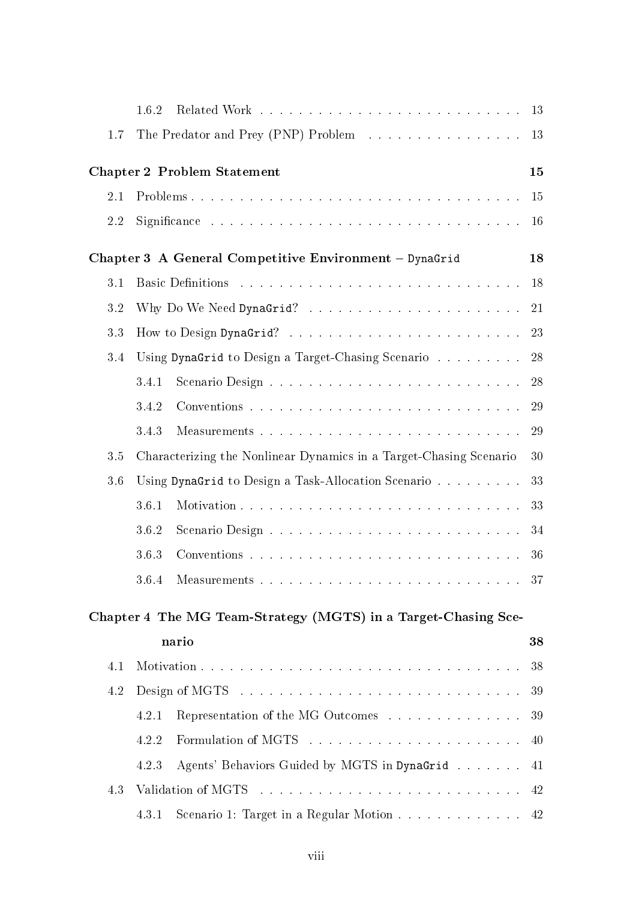|     | 1.6.2                                                                      |    |  |  |  |
|-----|----------------------------------------------------------------------------|----|--|--|--|
| 1.7 | The Predator and Prey (PNP) Problem 13                                     |    |  |  |  |
|     | <b>Chapter 2 Problem Statement</b>                                         | 15 |  |  |  |
| 2.1 |                                                                            | 15 |  |  |  |
| 2.2 |                                                                            | 16 |  |  |  |
|     | Chapter 3 A General Competitive Environment - DynaGrid                     | 18 |  |  |  |
| 3.1 |                                                                            | 18 |  |  |  |
| 3.2 | 21                                                                         |    |  |  |  |
| 3.3 | 23                                                                         |    |  |  |  |
| 3.4 | Using DynaGrid to Design a Target-Chasing Scenario                         | 28 |  |  |  |
|     | 3.4.1                                                                      | 28 |  |  |  |
|     | 3.4.2                                                                      | 29 |  |  |  |
|     | 3.4.3                                                                      | 29 |  |  |  |
| 3.5 | Characterizing the Nonlinear Dynamics in a Target-Chasing Scenario         | 30 |  |  |  |
| 3.6 | Using DynaGrid to Design a Task-Allocation Scenario                        | 33 |  |  |  |
|     | 3.6.1                                                                      | 33 |  |  |  |
|     | 3.6.2                                                                      | 34 |  |  |  |
|     | 3.6.3                                                                      | 36 |  |  |  |
|     |                                                                            | 37 |  |  |  |
|     | Chapter 4 The MG Team-Strategy (MGTS) in a Target-Chasing Sce-             |    |  |  |  |
|     | nario                                                                      | 38 |  |  |  |
| 4.1 |                                                                            | 38 |  |  |  |
| 4.2 |                                                                            | 39 |  |  |  |
|     | Representation of the MG Outcomes $\dots \dots \dots \dots \dots$<br>4.2.1 | 39 |  |  |  |
|     | 4.2.2                                                                      | 40 |  |  |  |
|     | Agents' Behaviors Guided by MGTS in DynaGrid<br>4.2.3                      | 41 |  |  |  |
| 4.3 |                                                                            | 42 |  |  |  |
|     | Scenario 1: Target in a Regular Motion 42<br>4.3.1                         |    |  |  |  |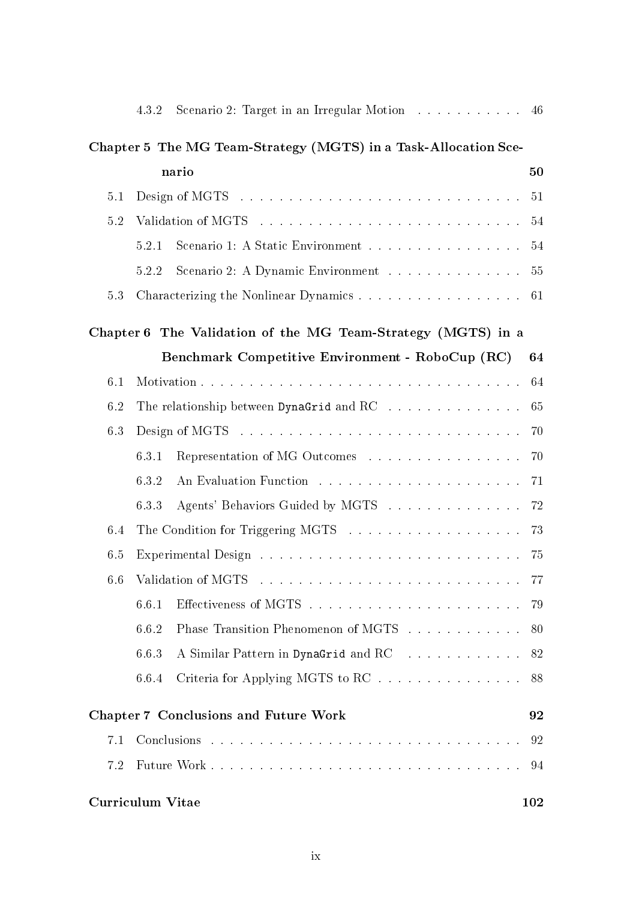|                         | 4.3.2                  | Scenario 2: Target in an Irregular Motion 46                    |     |  |  |
|-------------------------|------------------------|-----------------------------------------------------------------|-----|--|--|
|                         |                        | Chapter 5 The MG Team-Strategy (MGTS) in a Task-Allocation Sce- |     |  |  |
| nario                   |                        |                                                                 |     |  |  |
| 5.1                     |                        |                                                                 | 51  |  |  |
| 5.2                     |                        |                                                                 |     |  |  |
|                         | 5.2.1                  | Scenario 1: A Static Environment 54                             |     |  |  |
|                         | 5.2.2                  | Scenario 2: A Dynamic Environment 55                            |     |  |  |
| 5.3                     |                        | Characterizing the Nonlinear Dynamics 61                        |     |  |  |
|                         |                        | Chapter 6 The Validation of the MG Team-Strategy (MGTS) in a    |     |  |  |
|                         |                        | Benchmark Competitive Environment - RoboCup (RC)                | 64  |  |  |
| 6.1                     |                        |                                                                 | 64  |  |  |
| 6.2                     | 65                     |                                                                 |     |  |  |
| 6.3                     |                        |                                                                 | 70  |  |  |
|                         | 6.3.1                  | Representation of MG Outcomes                                   | 70  |  |  |
|                         | 6.3.2                  |                                                                 | 71  |  |  |
|                         | 6.3.3                  | Agents' Behaviors Guided by MGTS                                | 72  |  |  |
| 6.4                     | 73                     |                                                                 |     |  |  |
| 6.5                     | 75                     |                                                                 |     |  |  |
|                         | 6.6 Validation of MGTS |                                                                 |     |  |  |
|                         | 6.6.1                  |                                                                 | 79  |  |  |
|                         | 6.6.2                  | Phase Transition Phenomenon of MGTS                             | 80  |  |  |
|                         | 6.6.3                  | A Similar Pattern in DynaGrid and RC 82                         |     |  |  |
|                         | 6.6.4                  | Criteria for Applying MGTS to RC                                | 88  |  |  |
|                         |                        | <b>Chapter 7 Conclusions and Future Work</b>                    | 92  |  |  |
| 7.1                     |                        |                                                                 | 92  |  |  |
| 7.2                     |                        |                                                                 | 94  |  |  |
| <b>Curriculum Vitae</b> |                        |                                                                 | 102 |  |  |